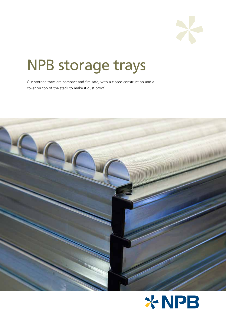

# NPB storage trays

Our storage trays are compact and fire safe, with a closed construction and a cover on top of the stack to make it dust proof.